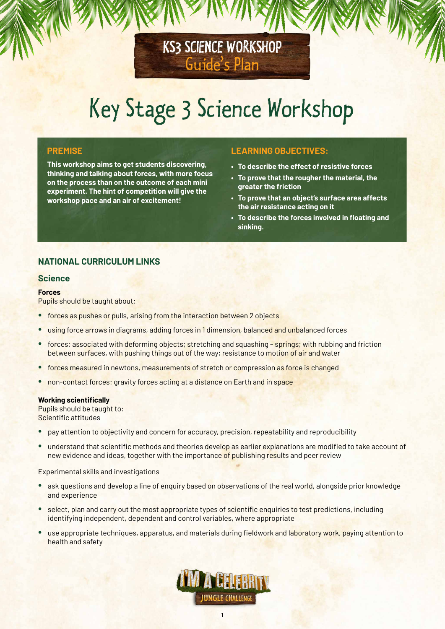# Key Stage 3 Science Workshop

#### **PREMISE**

**This workshop aims to get students discovering, thinking and talking about forces, with more focus on the process than on the outcome of each mini experiment. The hint of competition will give the workshop pace and an air of excitement!**

#### **LEARNING OBJECTIVES:**

- **To describe the effect of resistive forces**
- **To prove that the rougher the material, the greater the friction**
- **To prove that an object's surface area affects the air resistance acting on it**
- **To describe the forces involved in floating and sinking.**

#### **NATIONAL CURRICULUM LINKS**

#### **Science**

#### **Forces**

Pupils should be taught about:

- forces as pushes or pulls, arising from the interaction between 2 objects
- using force arrows in diagrams, adding forces in 1 dimension, balanced and unbalanced forces
- forces: associated with deforming objects; stretching and squashing springs; with rubbing and friction between surfaces, with pushing things out of the way; resistance to motion of air and water
- forces measured in newtons, measurements of stretch or compression as force is changed
- non-contact forces: gravity forces acting at a distance on Earth and in space

#### **Working scientifically**

Pupils should be taught to: Scientific attitudes

- pay attention to objectivity and concern for accuracy, precision, repeatability and reproducibility
- understand that scientific methods and theories develop as earlier explanations are modified to take account of new evidence and ideas, together with the importance of publishing results and peer review

Experimental skills and investigations

- ask questions and develop a line of enquiry based on observations of the real world, alongside prior knowledge and experience
- select, plan and carry out the most appropriate types of scientific enquiries to test predictions, including identifying independent, dependent and control variables, where appropriate
- use appropriate techniques, apparatus, and materials during fieldwork and laboratory work, paying attention to health and safety

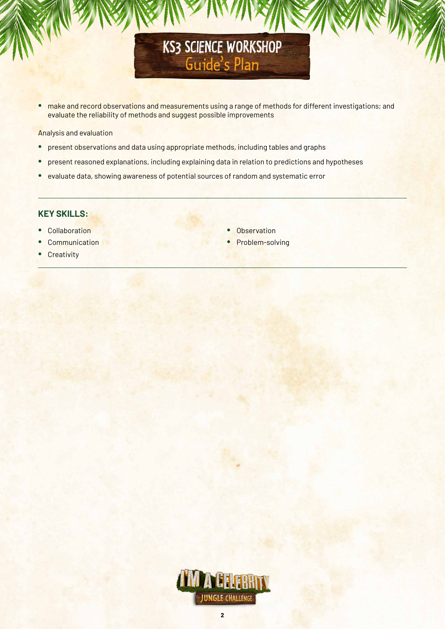• make and record observations and measurements using a range of methods for different investigations; and evaluate the reliability of methods and suggest possible improvements

Analysis and evaluation

- present observations and data using appropriate methods, including tables and graphs
- present reasoned explanations, including explaining data in relation to predictions and hypotheses
- evaluate data, showing awareness of potential sources of random and systematic error

#### **KEY SKILLS:**

- Collaboration
- Communication
- Creativity
- **Observation**
- Problem-solving

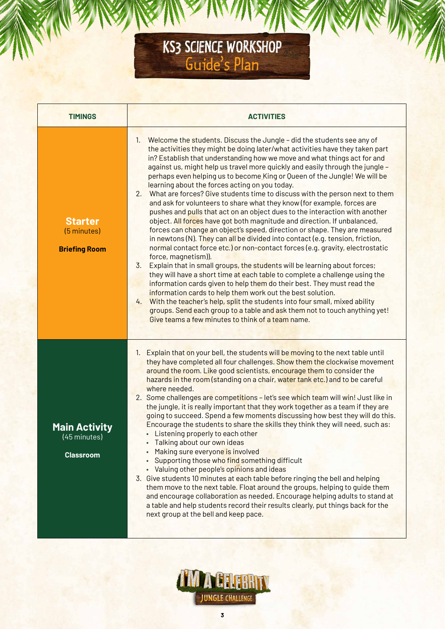| <b>TIMINGS</b>                                           | <b>ACTIVITIES</b>                                                                                                                                                                                                                                                                                                                                                                                                                                                                                                                                                                                                                                                                                                                                                                                                                                                                                                                                                                                                                                                                                                                                                                                                                                                                                                                                                                                                                                                                                                                                                                                          |
|----------------------------------------------------------|------------------------------------------------------------------------------------------------------------------------------------------------------------------------------------------------------------------------------------------------------------------------------------------------------------------------------------------------------------------------------------------------------------------------------------------------------------------------------------------------------------------------------------------------------------------------------------------------------------------------------------------------------------------------------------------------------------------------------------------------------------------------------------------------------------------------------------------------------------------------------------------------------------------------------------------------------------------------------------------------------------------------------------------------------------------------------------------------------------------------------------------------------------------------------------------------------------------------------------------------------------------------------------------------------------------------------------------------------------------------------------------------------------------------------------------------------------------------------------------------------------------------------------------------------------------------------------------------------------|
| <b>Starter</b><br>(5 minutes)<br><b>Briefing Room</b>    | Welcome the students. Discuss the Jungle - did the students see any of<br>1.<br>the activities they might be doing later/what activities have they taken part<br>in? Establish that understanding how we move and what things act for and<br>against us, might help us travel more quickly and easily through the jungle -<br>perhaps even helping us to become King or Queen of the Jungle! We will be<br>learning about the forces acting on you today.<br>What are forces? Give students time to discuss with the person next to them<br>2.<br>and ask for volunteers to share what they know (for example, forces are<br>pushes and pulls that act on an object dues to the interaction with another<br>object. All forces have got both magnitude and direction. If unbalanced,<br>forces can change an object's speed, direction or shape. They are measured<br>in newtons (N). They can all be divided into contact (e.g. tension, friction,<br>normal contact force etc.) or non-contact forces (e.g. gravity, electrostatic<br>force, magnetism)).<br>$\overline{3}$ .<br>Explain that in small groups, the students will be learning about forces;<br>they will have a short time at each table to complete a challenge using the<br>information cards given to help them do their best. They must read the<br>information cards to help them work out the best solution.<br>With the teacher's help, split the students into four small, mixed ability<br>4.<br>groups. Send each group to a table and ask them not to touch anything yet!<br>Give teams a few minutes to think of a team name. |
| <b>Main Activity</b><br>(45 minutes)<br><b>Classroom</b> | 1. Explain that on your bell, the students will be moving to the next table until<br>they have completed all four challenges. Show them the clockwise movement<br>around the room. Like good scientists, encourage them to consider the<br>hazards in the room (standing on a chair, water tank etc.) and to be careful<br>where needed.<br>2. Some challenges are competitions - let's see which team will win! Just like in<br>the jungle, it is really important that they work together as a team if they are<br>going to succeed. Spend a few moments discussing how best they will do this.<br>Encourage the students to share the skills they think they will need, such as:<br>• Listening properly to each other<br>Talking about our own ideas<br>Making sure everyone is involved<br>Supporting those who find something difficult<br>Valuing other people's opinions and ideas<br>3. Give students 10 minutes at each table before ringing the bell and helping<br>them move to the next table. Float around the groups, helping to guide them<br>and encourage collaboration as needed. Encourage helping adults to stand at<br>a table and help students record their results clearly, put things back for the<br>next group at the bell and keep pace.                                                                                                                                                                                                                                                                                                                                      |